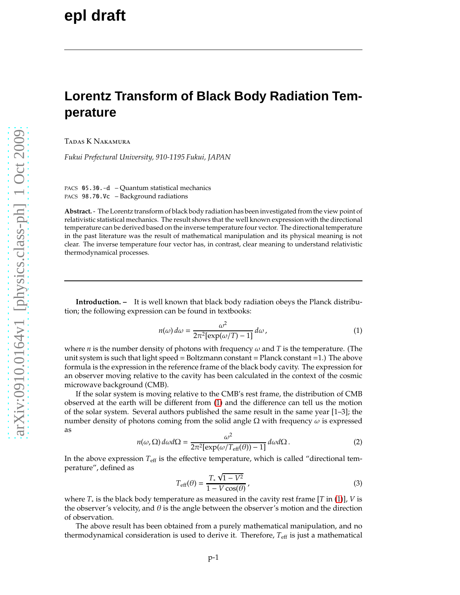## **Lorentz Transform of Black Body Radiation Temperature**

Tadas K Nakamura

*Fukui Prefectural University, 910-1195 Fukui, JAPAN*

PACS 05.30.-d – Quantum statistical mechanics PACS 98.70.Vc – Background radiations

**Abstract.** - The Lorentz transform of black body radiation has been investigated from the view point of relativistic statistical mechanics. The result shows that the well known expression with the directional temperature can be derived based on the inverse temperature four vector. The directional temperature in the past literature was the result of mathematical manipulation and its physical meaning is not clear. The inverse temperature four vector has, in contrast, clear meaning to understand relativistic thermodynamical processes.

**Introduction. –** It is well known that black body radiation obeys the Planck distribution; the following expression can be found in textbooks:

<span id="page-0-0"></span>
$$
n(\omega) d\omega = \frac{\omega^2}{2\pi^2[\exp(\omega/T) - 1]} d\omega,
$$
\n(1)

where *n* is the number density of photons with frequency  $\omega$  and *T* is the temperature. (The unit system is such that light speed  $=$  Boltzmann constant  $=$  Planck constant  $=1$ .) The above formula is the expression in the reference frame of the black body cavity. The expression for an observer moving relative to the cavity has been calculated in the context of the cosmic microwave background (CMB).

If the solar system is moving relative to the CMB's rest frame, the distribution of CMB observed at the earth will be different from [\(1\)](#page-0-0) and the difference can tell us the motion of the solar system. Several authors published the same result in the same year [1–3]; the number density of photons coming from the solid angle Ω with frequency  $ω$  is expressed as

<span id="page-0-1"></span>
$$
n(\omega,\Omega)\,d\omega d\Omega = \frac{\omega^2}{2\pi^2[\exp(\omega/T_{\rm eff}(\theta))-1]} \,d\omega d\Omega\,. \tag{2}
$$

In the above expression  $T_{\text{eff}}$  is the effective temperature, which is called "directional temperature", defined as

<span id="page-0-2"></span>
$$
T_{\rm eff}(\theta) = \frac{T_* \sqrt{1 - V^2}}{1 - V \cos(\theta)},
$$
\n(3)

where *T*<sup>∗</sup> is the black body temperature as measured in the cavity rest frame [*T* in [\(1\)](#page-0-0)], *V* is the observer's velocity, and  $\theta$  is the angle between the observer's motion and the direction of observation.

The above result has been obtained from a purely mathematical manipulation, and no thermodynamical consideration is used to derive it. Therefore,  $T_{\text{eff}}$  is just a mathematical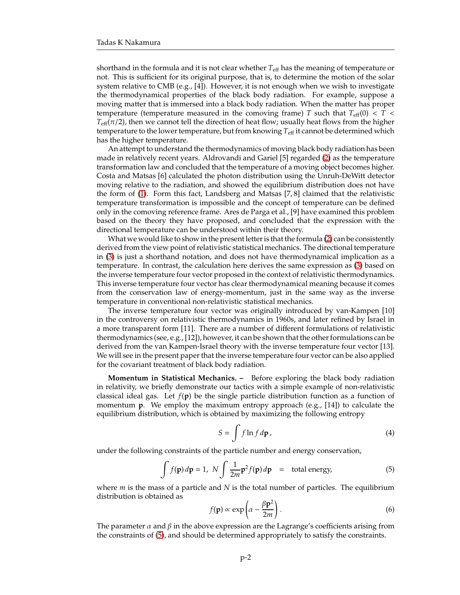shorthand in the formula and it is not clear whether *T*eff has the meaning of temperature or not. This is sufficient for its original purpose, that is, to determine the motion of the solar system relative to CMB (e.g., [4]). However, it is not enough when we wish to investigate the thermodynamical properties of the black body radiation. For example, suppose a moving matter that is immersed into a black body radiation. When the matter has proper temperature (temperature measured in the comoving frame) *T* such that  $T_{\text{eff}}(0) < T <$  $T_{\text{eff}}(\pi/2)$ , then we cannot tell the direction of heat flow; usually heat flows from the higher temperature to the lower temperature, but from knowing  $T_{\text{eff}}$  it cannot be determined which has the higher temperature.

An attempt to understand the thermodynamics of moving black body radiation has been made in relatively recent years. Aldrovandi and Gariel [5] regarded [\(2\)](#page-0-1) as the temperature transformation law and concluded that the temperature of a moving object becomes higher. Costa and Matsas [6] calculated the photon distribution using the Unruh-DeWitt detector moving relative to the radiation, and showed the equilibrium distribution does not have the form of [\(1\)](#page-0-0). Form this fact, Landsberg and Matsas [7, 8] claimed that the relativistic temperature transformation is impossible and the concept of temperature can be defined only in the comoving reference frame. Ares de Parga et al., [9] have examined this problem based on the theory they have proposed, and concluded that the expression with the directional temperature can be understood within their theory.

What we would like to show in the present letter is that the formula [\(2\)](#page-0-1) can be consistently derived from the view point of relativistic statistical mechanics. The directional temperature in [\(3\)](#page-0-2) is just a shorthand notation, and does not have thermodynamical implication as a temperature. In contrast, the calculation here derives the same expression as [\(3\)](#page-0-2) based on the inverse temperature four vector proposed in the context of relativistic thermodynamics. This inverse temperature four vector has clear thermodynamical meaning because it comes from the conservation law of energy-momentum, just in the same way as the inverse temperature in conventional non-relativistic statistical mechanics.

The inverse temperature four vector was originally introduced by van-Kampen [10] in the controversy on relativistic thermodynamics in 1960s, and later refined by Israel in a more transparent form [11]. There are a number of different formulations of relativistic thermodynamics (see, e.g., [12]), however, it can be shown that the other formulations can be derived from the van Kampen-Israel theory with the inverse temperature four vector [13]. We will see in the present paper that the inverse temperature four vector can be also applied for the covariant treatment of black body radiation.

**Momentum in Statistical Mechanics. –** Before exploring the black body radiation in relativity, we briefly demonstrate our tactics with a simple example of non-relativistic classical ideal gas. Let  $f(\mathbf{p})$  be the single particle distribution function as a function of momentum **p**. We employ the maximum entropy approach (e.g., [14]) to calculate the equilibrium distribution, which is obtained by maximizing the following entropy

$$
S = \int f \ln f \, d\mathbf{p} \,, \tag{4}
$$

under the following constraints of the particle number and energy conservation,

<span id="page-1-0"></span>
$$
\int f(\mathbf{p}) d\mathbf{p} = 1, \ N \int \frac{1}{2m} \mathbf{p}^2 f(\mathbf{p}) d\mathbf{p} = \text{total energy}, \tag{5}
$$

where *m* is the mass of a particle and *N* is the total number of particles. The equilibrium distribution is obtained as

<span id="page-1-1"></span>
$$
f(\mathbf{p}) \propto \exp\left(\alpha - \frac{\beta \mathbf{p}^2}{2m}\right).
$$
 (6)

The parameter  $\alpha$  and  $\beta$  in the above expression are the Lagrange's coefficients arising from the constraints of [\(5\)](#page-1-0), and should be determined appropriately to satisfy the constraints.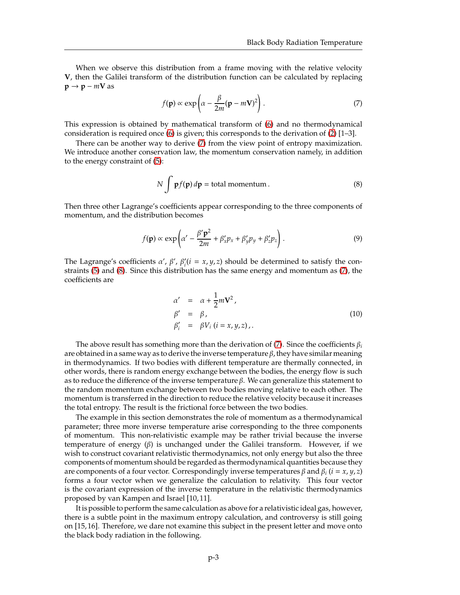When we observe this distribution from a frame moving with the relative velocity **V**, then the Galilei transform of the distribution function can be calculated by replacing  $p \rightarrow p - mV$  as

<span id="page-2-0"></span>
$$
f(\mathbf{p}) \propto \exp\left(\alpha - \frac{\beta}{2m}(\mathbf{p} - m\mathbf{V})^2\right).
$$
 (7)

This expression is obtained by mathematical transform of [\(6\)](#page-1-1) and no thermodynamical consideration is required once [\(6\)](#page-1-1) is given; this corresponds to the derivation of [\(2\)](#page-0-1) [1–3].

There can be another way to derive [\(7\)](#page-2-0) from the view point of entropy maximization. We introduce another conservation law, the momentum conservation namely, in addition to the energy constraint of [\(5\)](#page-1-0):

<span id="page-2-1"></span>
$$
N \int p f(p) dp = \text{total momentum}.
$$
 (8)

Then three other Lagrange's coefficients appear corresponding to the three components of momentum, and the distribution becomes

$$
f(\mathbf{p}) \propto \exp\left(\alpha' - \frac{\beta' \mathbf{p}^2}{2m} + \beta'_x p_x + \beta'_y p_y + \beta'_z p_z\right).
$$
 (9)

The Lagrange's coefficients  $\alpha'$ ,  $\beta'$ ,  $\beta'_{i}$  ( $i = x, y, z$ ) should be determined to satisfy the constraints [\(5\)](#page-1-0) and [\(8\)](#page-2-1). Since this distribution has the same energy and momentum as [\(7\)](#page-2-0), the coefficients are

<span id="page-2-2"></span>
$$
\alpha' = \alpha + \frac{1}{2}m\mathbf{V}^2, \n\beta' = \beta, \n\beta'_i = \beta V_i (i = x, y, z),
$$
\n(10)

The above result has something more than the derivation of [\(7\)](#page-2-0). Since the coefficients  $\beta_i$ are obtained in a same way as to derive the inverse temperature  $\beta$ , they have similar meaning in thermodynamics. If two bodies with different temperature are thermally connected, in other words, there is random energy exchange between the bodies, the energy flow is such as to reduce the difference of the inverse temperature  $\beta$ . We can generalize this statement to the random momentum exchange between two bodies moving relative to each other. The momentum is transferred in the direction to reduce the relative velocity because it increases the total entropy. The result is the frictional force between the two bodies.

The example in this section demonstrates the role of momentum as a thermodynamical parameter; three more inverse temperature arise corresponding to the three components of momentum. This non-relativistic example may be rather trivial because the inverse temperature of energy (β) is unchanged under the Galilei transform. However, if we wish to construct covariant relativistic thermodynamics, not only energy but also the three components of momentum should be regarded as thermodynamical quantities because they are components of a four vector. Correspondingly inverse temperatures  $\beta$  and  $\beta$ *i* ( $i = x, y, z$ ) forms a four vector when we generalize the calculation to relativity. This four vector is the covariant expression of the inverse temperature in the relativistic thermodynamics proposed by van Kampen and Israel [10, 11].

It is possible to perform the same calculation as above for a relativistic ideal gas, however, there is a subtle point in the maximum entropy calculation, and controversy is still going on [15, 16]. Therefore, we dare not examine this subject in the present letter and move onto the black body radiation in the following.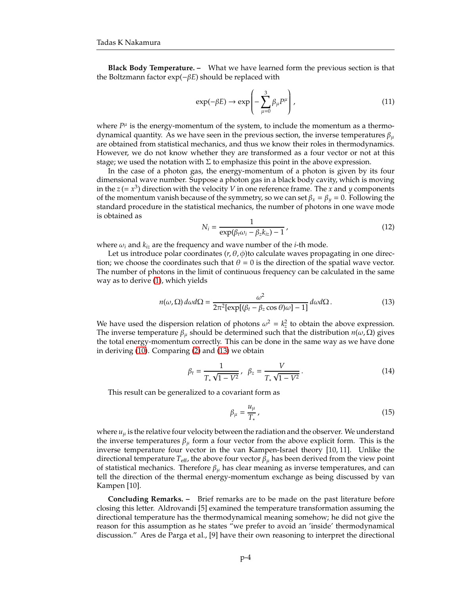**Black Body Temperature. –** What we have learned form the previous section is that the Boltzmann factor exp(−β*E*) should be replaced with

$$
\exp(-\beta E) \to \exp\left(-\sum_{\mu=0}^{3} \beta_{\mu} P^{\mu}\right), \qquad (11)
$$

where  $P^{\mu}$  is the energy-momentum of the system, to include the momentum as a thermodynamical quantity. As we have seen in the previous section, the inverse temperatures  $\beta_{\mu}$ are obtained from statistical mechanics, and thus we know their roles in thermodynamics. However, we do not know whether they are transformed as a four vector or not at this stage; we used the notation with  $\Sigma$  to emphasize this point in the above expression.

In the case of a photon gas, the energy-momentum of a photon is given by its four dimensional wave number. Suppose a photon gas in a black body cavity, which is moving in the  $z = x^3$ ) direction with the velocity *V* in one reference frame. The *x* and *y* components of the momentum vanish because of the symmetry, so we can set  $\beta_x = \beta_y = 0$ . Following the standard procedure in the statistical mechanics, the number of photons in one wave mode is obtained as

$$
N_i = \frac{1}{\exp(\beta_t \omega_i - \beta_z k_{iz}) - 1},
$$
\n(12)

where  $\omega_i$  and  $k_{iz}$  are the frequency and wave number of the *i*-th mode.

Let us introduce polar coordinates  $(r, \theta, \phi)$ to calculate waves propagating in one direction; we choose the coordinates such that  $\theta = 0$  is the direction of the spatial wave vector. The number of photons in the limit of continuous frequency can be calculated in the same way as to derive [\(1\)](#page-0-0), which yields

<span id="page-3-0"></span>
$$
n(\omega,\Omega)\,d\omega d\Omega = \frac{\omega^2}{2\pi^2[\exp[(\beta_t - \beta_z\cos\theta)\omega] - 1]} \,d\omega d\Omega\,. \tag{13}
$$

We have used the dispersion relation of photons  $\omega^2 = k_z^2$  to obtain the above expression. The inverse temperature  $\beta_{\mu}$  should be determined such that the distribution  $n(\omega, \Omega)$  gives the total energy-momentum correctly. This can be done in the same way as we have done in deriving [\(10\)](#page-2-2). Comparing [\(2\)](#page-0-1) and [\(13\)](#page-3-0) we obtain

$$
\beta_t = \frac{1}{T_* \sqrt{1 - V^2}}, \ \beta_z = \frac{V}{T_* \sqrt{1 - V^2}}.
$$
\n(14)

This result can be generalized to a covariant form as

$$
\beta_{\mu} = \frac{u_{\mu}}{T_*} \,,\tag{15}
$$

where  $u_{\mu}$  is the relative four velocity between the radiation and the observer. We understand the inverse temperatures  $\beta_{\mu}$  form a four vector from the above explicit form. This is the inverse temperature four vector in the van Kampen-Israel theory [10, 11]. Unlike the directional temperature  $T_{\text{eff}}$ , the above four vector  $\beta_{\mu}$  has been derived from the view point of statistical mechanics. Therefore  $\beta_{\mu}$  has clear meaning as inverse temperatures, and can tell the direction of the thermal energy-momentum exchange as being discussed by van Kampen [10].

**Concluding Remarks. –** Brief remarks are to be made on the past literature before closing this letter. Aldrovandi [5] examined the temperature transformation assuming the directional temperature has the thermodynamical meaning somehow; he did not give the reason for this assumption as he states "we prefer to avoid an 'inside' thermodynamical discussion." Ares de Parga et al., [9] have their own reasoning to interpret the directional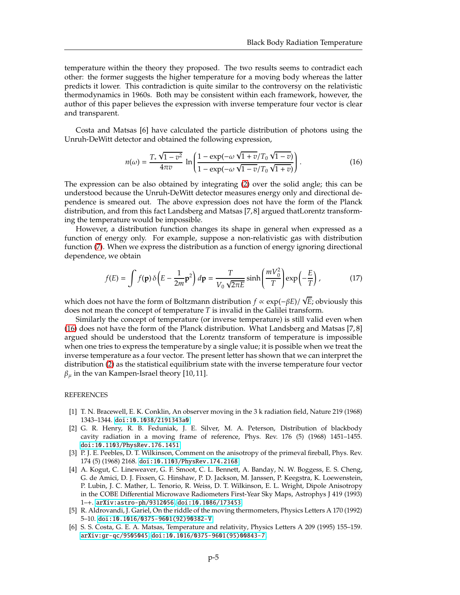temperature within the theory they proposed. The two results seems to contradict each other: the former suggests the higher temperature for a moving body whereas the latter predicts it lower. This contradiction is quite similar to the controversy on the relativistic thermodynamics in 1960s. Both may be consistent within each framework, however, the author of this paper believes the expression with inverse temperature four vector is clear and transparent.

Costa and Matsas [6] have calculated the particle distribution of photons using the Unruh-DeWitt detector and obtained the following expression,

<span id="page-4-0"></span>
$$
n(\omega) = \frac{T_* \sqrt{1 - v^2}}{4\pi v} \ln \left( \frac{1 - \exp(-\omega \sqrt{1 + v}/T_0 \sqrt{1 - v})}{1 - \exp(-\omega \sqrt{1 - v}/T_0 \sqrt{1 + v})} \right).
$$
 (16)

The expression can be also obtained by integrating [\(2\)](#page-0-1) over the solid angle; this can be understood because the Unruh-DeWitt detector measures energy only and directional dependence is smeared out. The above expression does not have the form of the Planck distribution, and from this fact Landsberg and Matsas [7, 8] argued thatLorentz transforming the temperature would be impossible.

However, a distribution function changes its shape in general when expressed as a function of energy only. For example, suppose a non-relativistic gas with distribution function [\(7\)](#page-2-0). When we express the distribution as a function of energy ignoring directional dependence, we obtain

$$
f(E) = \int f(\mathbf{p}) \, \delta \left( E - \frac{1}{2m} \mathbf{p}^2 \right) d\mathbf{p} = \frac{T}{V_0 \sqrt{2\pi E}} \sinh \left( \frac{mV_0^2}{T} \right) \exp \left( -\frac{E}{T} \right),\tag{17}
$$

which does not have the form of Boltzmann distribution  $f \propto \exp(-\beta E)/\sqrt{E}$ ; obviously this does not mean the concept of temperature *T* is invalid in the Galilei transform.

Similarly the concept of temperature (or inverse temperature) is still valid even when [\(16\)](#page-4-0) does not have the form of the Planck distribution. What Landsberg and Matsas [7, 8] argued should be understood that the Lorentz transform of temperature is impossible when one tries to express the temperature by a single value; it is possible when we treat the inverse temperature as a four vector. The present letter has shown that we can interpret the distribution [\(2\)](#page-0-1) as the statistical equilibrium state with the inverse temperature four vector  $\beta_{\mu}$  in the van Kampen-Israel theory [10, 11].

## **REFERENCES**

- [1] T. N. Bracewell, E. K. Conklin, An observer moving in the 3 k radiation field, Nature 219 (1968) 1343–1344. [doi:10.1038/2191343a0](http://dx.doi.org/10.1038/2191343a0).
- [2] G. R. Henry, R. B. Feduniak, J. E. Silver, M. A. Peterson, Distribution of blackbody cavity radiation in a moving frame of reference, Phys. Rev. 176 (5) (1968) 1451–1455. [doi:10.1103/PhysRev.176.1451](http://dx.doi.org/10.1103/PhysRev.176.1451).
- [3] P. J. E. Peebles, D. T. Wilkinson, Comment on the anisotropy of the primeval fireball, Phys. Rev. 174 (5) (1968) 2168. [doi:10.1103/PhysRev.174.2168](http://dx.doi.org/10.1103/PhysRev.174.2168).
- [4] A. Kogut, C. Lineweaver, G. F. Smoot, C. L. Bennett, A. Banday, N. W. Boggess, E. S. Cheng, G. de Amici, D. J. Fixsen, G. Hinshaw, P. D. Jackson, M. Janssen, P. Keegstra, K. Loewenstein, P. Lubin, J. C. Mather, L. Tenorio, R. Weiss, D. T. Wilkinson, E. L. Wright, Dipole Anisotropy in the COBE Differential Microwave Radiometers First-Year Sky Maps, Astrophys J 419 (1993) 1–+. [arXiv:astro-ph/9312056](http://arxiv.org/abs/astro-ph/9312056), [doi:10.1086/173453](http://dx.doi.org/10.1086/173453).
- [5] R. Aldrovandi, J. Gariel, On the riddle of the moving thermometers, Physics Letters A 170 (1992) 5–10. [doi:10.1016/0375-9601\(92\)90382-V](http://dx.doi.org/10.1016/0375-9601(92)90382-V).
- [6] S. S. Costa, G. E. A. Matsas, Temperature and relativity, Physics Letters A 209 (1995) 155–159. [arXiv:gr-qc/9505045](http://arxiv.org/abs/gr-qc/9505045), [doi:10.1016/0375-9601\(95\)00843-7](http://dx.doi.org/10.1016/0375-9601(95)00843-7).